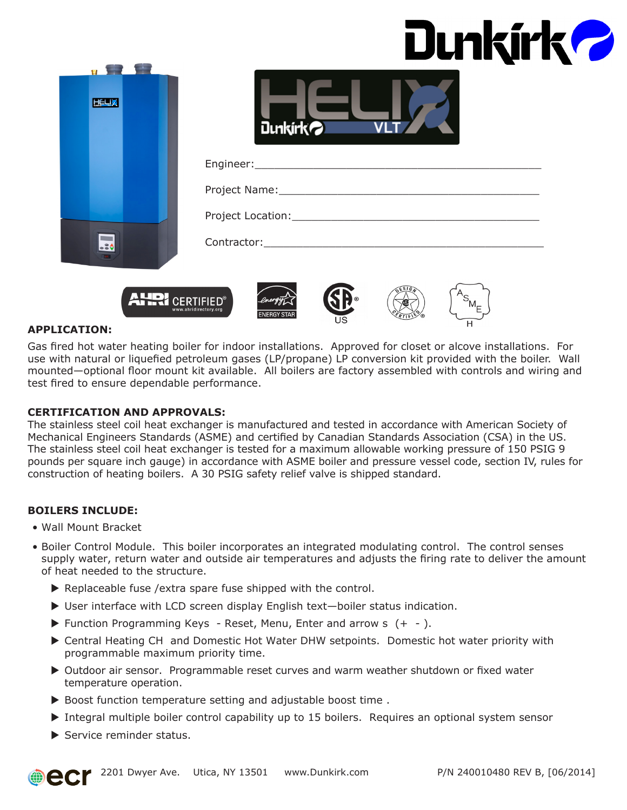| Dunkírk? |  |
|----------|--|
|----------|--|



| <b>Dunkirkol</b> |  |
|------------------|--|

| Project Name: __________                     |
|----------------------------------------------|
| Project Location: New York Project Location: |
| Contractor:                                  |









#### **APPLICATION:**

Gas fired hot water heating boiler for indoor installations. Approved for closet or alcove installations. For use with natural or liquefied petroleum gases (LP/propane) LP conversion kit provided with the boiler. Wall mounted—optional floor mount kit available. All boilers are factory assembled with controls and wiring and test fired to ensure dependable performance.

#### **CERTIFICATION AND APPROVALS:**

The stainless steel coil heat exchanger is manufactured and tested in accordance with American Society of Mechanical Engineers Standards (ASME) and certified by Canadian Standards Association (CSA) in the US. The stainless steel coil heat exchanger is tested for a maximum allowable working pressure of 150 PSIG 9 pounds per square inch gauge) in accordance with ASME boiler and pressure vessel code, section IV, rules for construction of heating boilers. A 30 PSIG safety relief valve is shipped standard.

#### **BOILERS INCLUDE:**

- Wall Mount Bracket
- Boiler Control Module. This boiler incorporates an integrated modulating control. The control senses supply water, return water and outside air temperatures and adjusts the firing rate to deliver the amount of heat needed to the structure.
	- $\blacktriangleright$  Replaceable fuse /extra spare fuse shipped with the control.
	- $\triangleright$  User interface with LCD screen display English text-boiler status indication.
	- $\blacktriangleright$  Function Programming Keys Reset, Menu, Enter and arrow s  $(+ -)$ .
	- ▶ Central Heating CH and Domestic Hot Water DHW setpoints. Domestic hot water priority with programmable maximum priority time.
	- ▶ Outdoor air sensor. Programmable reset curves and warm weather shutdown or fixed water temperature operation.
	- $\triangleright$  Boost function temperature setting and adjustable boost time .
	- $\triangleright$  Integral multiple boiler control capability up to 15 boilers. Requires an optional system sensor
	- $\blacktriangleright$  Service reminder status.

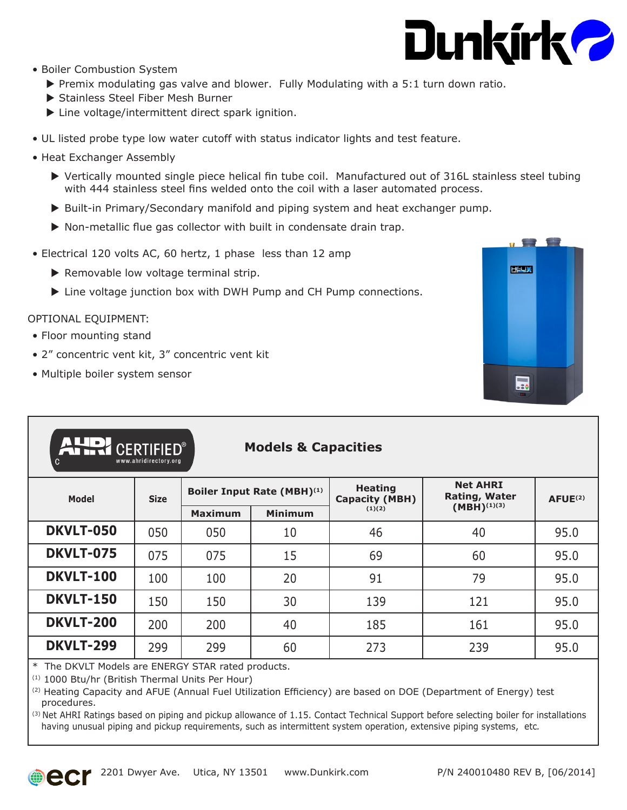

- Boiler Combustion System
	- $\triangleright$  Premix modulating gas valve and blower. Fully Modulating with a 5:1 turn down ratio.
	- Stainless Steel Fiber Mesh Burner
	- $\blacktriangleright$  Line voltage/intermittent direct spark ignition.
- UL listed probe type low water cutoff with status indicator lights and test feature.
- Heat Exchanger Assembly
	- $\triangleright$  Vertically mounted single piece helical fin tube coil. Manufactured out of 316L stainless steel tubing with 444 stainless steel fins welded onto the coil with a laser automated process.
	- $\triangleright$  Built-in Primary/Secondary manifold and piping system and heat exchanger pump.
	- $\triangleright$  Non-metallic flue gas collector with built in condensate drain trap.
- Electrical 120 volts AC, 60 hertz, 1 phase less than 12 amp
	- $\blacktriangleright$  Removable low voltage terminal strip.
	- $\blacktriangleright$  Line voltage junction box with DWH Pump and CH Pump connections.

#### OPTIONAL EQUIPMENT:

- Floor mounting stand
- 2" concentric vent kit, 3" concentric vent kit
- Multiple boiler system sensor



| AUDI CERTIFIED®<br><b>Models &amp; Capacities</b><br>www.ahridirectory.org<br>C |             |                            |                |                                         |                                         |               |  |
|---------------------------------------------------------------------------------|-------------|----------------------------|----------------|-----------------------------------------|-----------------------------------------|---------------|--|
| <b>Model</b>                                                                    | <b>Size</b> | Boiler Input Rate (MBH)(1) |                | <b>Heating</b><br><b>Capacity (MBH)</b> | <b>Net AHRI</b><br><b>Rating, Water</b> | $A$ FUE $(2)$ |  |
|                                                                                 |             | <b>Maximum</b>             | <b>Minimum</b> | (1)(2)                                  | $(MBH)^{(1)(3)}$                        |               |  |
| <b>DKVLT-050</b>                                                                | 050         | 050                        | 10             | 46                                      | 40                                      | 95.0          |  |
| <b>DKVLT-075</b>                                                                | 075         | 075                        | 15             | 69                                      | 60                                      | 95.0          |  |
| <b>DKVLT-100</b>                                                                | 100         | 100                        | 20             | 91                                      | 79                                      | 95.0          |  |
| <b>DKVLT-150</b>                                                                | 150         | 150                        | 30             | 139                                     | 121                                     | 95.0          |  |
| <b>DKVLT-200</b>                                                                | 200         | 200                        | 40             | 185                                     | 161                                     | 95.0          |  |
| <b>DKVLT-299</b>                                                                | 299         | 299                        | 60             | 273                                     | 239                                     | 95.0          |  |

\* The DKVLT Models are ENERGY STAR rated products.

(1) 1000 Btu/hr (British Thermal Units Per Hour)

(2) Heating Capacity and AFUE (Annual Fuel Utilization Efficiency) are based on DOE (Department of Energy) test procedures.

 $<sup>(3)</sup>$  Net AHRI Ratings based on piping and pickup allowance of 1.15. Contact Technical Support before selecting boiler for installations</sup> having unusual piping and pickup requirements, such as intermittent system operation, extensive piping systems, etc*.*

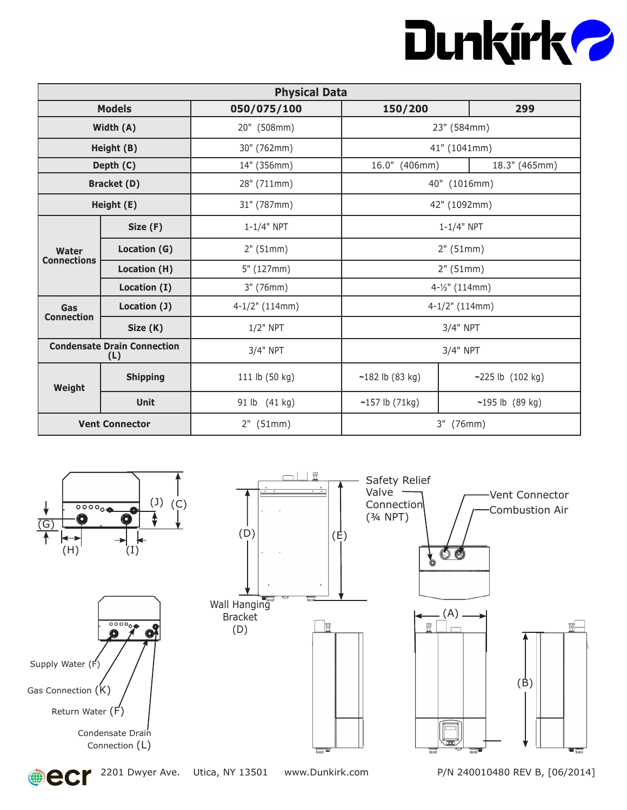## Dunkirk 2

| <b>Physical Data</b>     |                                           |                  |                               |                     |  |
|--------------------------|-------------------------------------------|------------------|-------------------------------|---------------------|--|
|                          | <b>Models</b>                             | 050/075/100      | 150/200                       | 299                 |  |
|                          | Width (A)                                 | 20" (508mm)      |                               | 23" (584mm)         |  |
| Height (B)               |                                           | 30" (762mm)      |                               | 41" (1041mm)        |  |
|                          | Depth (C)                                 | 14" (356mm)      | 16.0" (406mm)                 | 18.3" (465mm)       |  |
|                          | <b>Bracket (D)</b>                        | 28" (711mm)      |                               | 40" (1016mm)        |  |
|                          | Height (E)                                | 31" (787mm)      |                               | 42" (1092mm)        |  |
|                          | Size (F)                                  | $1 - 1/4"$ NPT   |                               | $1 - 1/4"$ NPT      |  |
| Water                    | Location (G)                              | 2" (51mm)        | 2" (51mm)                     |                     |  |
| <b>Connections</b>       | Location (H)                              | 5" (127mm)       | 2''(51mm)                     |                     |  |
|                          | Location (I)                              | 3" (76mm)        | 4-1/2" (114mm)                |                     |  |
| Gas<br><b>Connection</b> | Location (J)                              | $4-1/2"$ (114mm) | $4-1/2$ " (114mm)<br>3/4" NPT |                     |  |
|                          | Size (K)                                  | $1/2$ " NPT      |                               |                     |  |
|                          | <b>Condensate Drain Connection</b><br>(L) | 3/4" NPT         | 3/4" NPT                      |                     |  |
| Weight                   | <b>Shipping</b>                           | 111 lb (50 kg)   | $~182$ lb (83 kg)             | ~225 lb $(102 kg)$  |  |
|                          | <b>Unit</b>                               | 91 lb (41 kg)    | $~157$ lb (71kg)              | $-195$ lb $(89$ kg) |  |
|                          | <b>Vent Connector</b>                     | $2"$ (51mm)      | 3" (76mm)                     |                     |  |



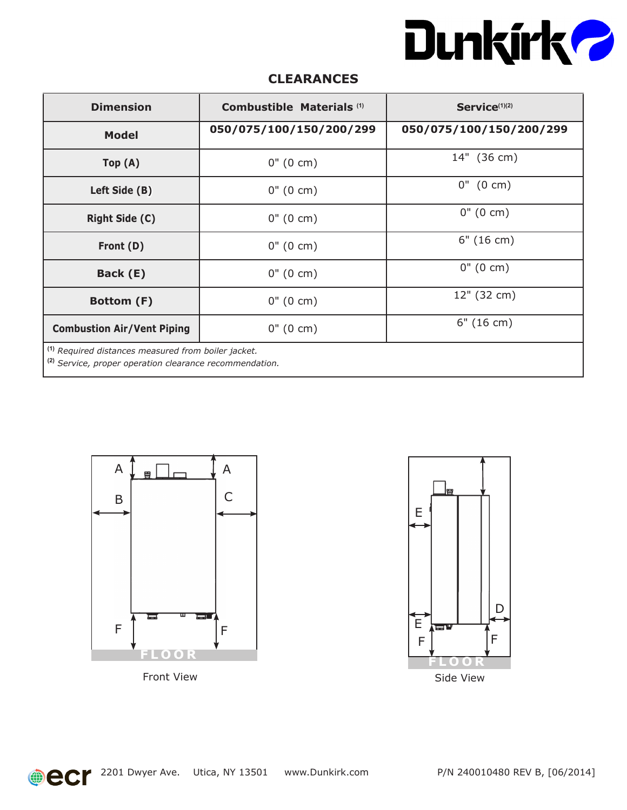

### **CLEARANCES**

| <b>Dimension</b>                                                                                                                     | Combustible Materials <sup>(1)</sup> | Service <sup>(1)(2)</sup> |  |  |
|--------------------------------------------------------------------------------------------------------------------------------------|--------------------------------------|---------------------------|--|--|
| <b>Model</b>                                                                                                                         | 050/075/100/150/200/299              | 050/075/100/150/200/299   |  |  |
| Top(A)                                                                                                                               | $0''(0 \text{ cm})$                  | 14" (36 cm)               |  |  |
| Left Side (B)                                                                                                                        | $0''(0 \text{ cm})$                  | $0''$ (0 cm)              |  |  |
| <b>Right Side (C)</b>                                                                                                                | $0''(0 \text{ cm})$                  | $0''(0 \text{ cm})$       |  |  |
| Front (D)                                                                                                                            | $0''(0 \text{ cm})$                  | 6" (16 cm)                |  |  |
| Back (E)                                                                                                                             | $0''(0 \text{ cm})$                  | $0''(0 \text{ cm})$       |  |  |
| Bottom (F)                                                                                                                           | $0''(0 \text{ cm})$                  | 12" (32 cm)               |  |  |
| <b>Combustion Air/Vent Piping</b>                                                                                                    | $0''(0 \text{ cm})$                  | 6" (16 cm)                |  |  |
| <sup>(1)</sup> Required distances measured from boiler jacket.<br><sup>(2)</sup> Service, proper operation clearance recommendation. |                                      |                           |  |  |







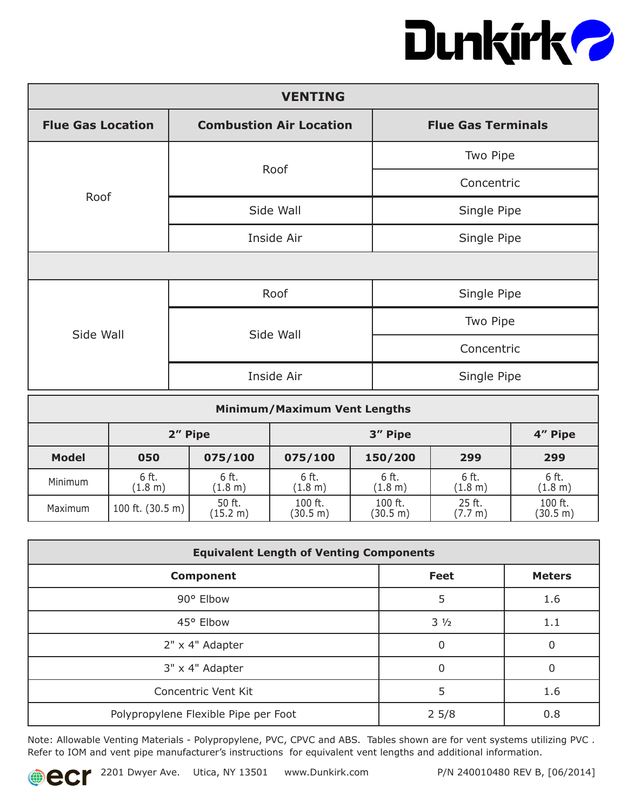# Dunkirk?

| <b>VENTING</b>           |                                |                           |  |  |  |
|--------------------------|--------------------------------|---------------------------|--|--|--|
| <b>Flue Gas Location</b> | <b>Combustion Air Location</b> | <b>Flue Gas Terminals</b> |  |  |  |
|                          | Roof                           | Two Pipe                  |  |  |  |
| Roof                     |                                | Concentric                |  |  |  |
|                          | Side Wall                      | Single Pipe               |  |  |  |
|                          | Inside Air                     | Single Pipe               |  |  |  |
|                          |                                |                           |  |  |  |
|                          | Roof                           | Single Pipe               |  |  |  |
| Side Wall                | Side Wall                      | Two Pipe                  |  |  |  |
|                          |                                | Concentric                |  |  |  |
|                          | Inside Air                     | Single Pipe               |  |  |  |

| <b>Minimum/Maximum Vent Lengths</b> |                            |                    |                     |                     |                   |                     |
|-------------------------------------|----------------------------|--------------------|---------------------|---------------------|-------------------|---------------------|
| 2" Pipe                             |                            |                    | 3" Pipe<br>4" Pipe  |                     |                   |                     |
| <b>Model</b>                        | 050                        | 075/100            | 075/100             | 150/200             | 299               | 299                 |
| Minimum                             | 6 ft.<br>(1.8 m)           | 6 ft.<br>(1.8 m)   | 6 ft.<br>(1.8 m)    | 6 ft.<br>(1.8 m)    | 6 ft.<br>(1.8 m)  | 6 ft.<br>(1.8 m)    |
| Maximum                             | 100 ft. $(30.5 \text{ m})$ | 50 ft.<br>(15.2 m) | 100 ft.<br>(30.5 m) | 100 ft.<br>(30.5 m) | 25 ft.<br>(7.7 m) | 100 ft.<br>(30.5 m) |

| <b>Equivalent Length of Venting Components</b> |                |               |  |  |  |
|------------------------------------------------|----------------|---------------|--|--|--|
| <b>Component</b>                               | <b>Feet</b>    | <b>Meters</b> |  |  |  |
| 90° Elbow                                      | 5              | 1.6           |  |  |  |
| 45° Elbow                                      | $3\frac{1}{2}$ | 1.1           |  |  |  |
| 2" x 4" Adapter                                | 0              | $\Omega$      |  |  |  |
| 3" x 4" Adapter                                | 0              | 0             |  |  |  |
| Concentric Vent Kit                            | 5              | 1.6           |  |  |  |
| Polypropylene Flexible Pipe per Foot           | $2\,5/8$       | 0.8           |  |  |  |

Note: Allowable Venting Materials - Polypropylene, PVC, CPVC and ABS. Tables shown are for vent systems utilizing PVC . Refer to IOM and vent pipe manufacturer's instructions for equivalent vent lengths and additional information.